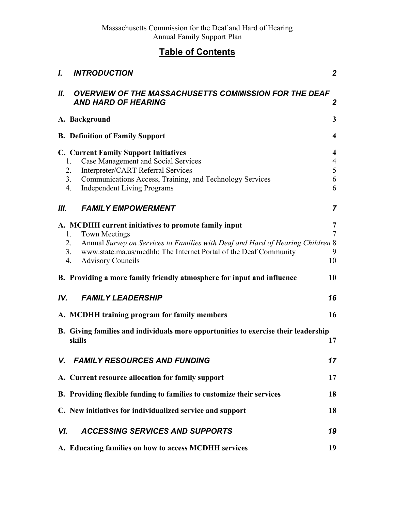## **Table of Contents**

| $\mathbf{L}$ | <b>INTRODUCTION</b>                                                                                                                                                                                                                                                                    | $\boldsymbol{2}$                                         |
|--------------|----------------------------------------------------------------------------------------------------------------------------------------------------------------------------------------------------------------------------------------------------------------------------------------|----------------------------------------------------------|
| II.          | <b>OVERVIEW OF THE MASSACHUSETTS COMMISSION FOR THE DEAF</b><br><b>AND HARD OF HEARING</b>                                                                                                                                                                                             | 2                                                        |
|              | A. Background                                                                                                                                                                                                                                                                          | 3                                                        |
|              | <b>B.</b> Definition of Family Support                                                                                                                                                                                                                                                 | $\overline{\mathbf{4}}$                                  |
|              | <b>C. Current Family Support Initiatives</b><br>Case Management and Social Services<br>1.<br>Interpreter/CART Referral Services<br>2.<br>Communications Access, Training, and Technology Services<br>3.<br><b>Independent Living Programs</b><br>4.                                    | $\overline{\mathbf{4}}$<br>$\overline{4}$<br>5<br>6<br>6 |
| Ш.           | <b>FAMILY EMPOWERMENT</b>                                                                                                                                                                                                                                                              | $\overline{7}$                                           |
|              | A. MCDHH current initiatives to promote family input<br><b>Town Meetings</b><br>1.<br>Annual Survey on Services to Families with Deaf and Hard of Hearing Children 8<br>2.<br>3.<br>www.state.ma.us/mcdhh: The Internet Portal of the Deaf Community<br>4.<br><b>Advisory Councils</b> | 7<br>$\overline{7}$<br>9<br>10                           |
|              | B. Providing a more family friendly atmosphere for input and influence                                                                                                                                                                                                                 | 10                                                       |
| IV.          | <b>FAMILY LEADERSHIP</b>                                                                                                                                                                                                                                                               | 16                                                       |
|              | A. MCDHH training program for family members                                                                                                                                                                                                                                           | 16                                                       |
|              | B. Giving families and individuals more opportunities to exercise their leadership<br>skills                                                                                                                                                                                           | 17                                                       |
|              | V. FAMILY RESOURCES AND FUNDING                                                                                                                                                                                                                                                        | 17                                                       |
|              | A. Current resource allocation for family support                                                                                                                                                                                                                                      | 17                                                       |
|              | B. Providing flexible funding to families to customize their services                                                                                                                                                                                                                  | 18                                                       |
|              | C. New initiatives for individualized service and support                                                                                                                                                                                                                              | 18                                                       |
| VI.          | <b>ACCESSING SERVICES AND SUPPORTS</b>                                                                                                                                                                                                                                                 | 19                                                       |
|              | A. Educating families on how to access MCDHH services                                                                                                                                                                                                                                  | 19                                                       |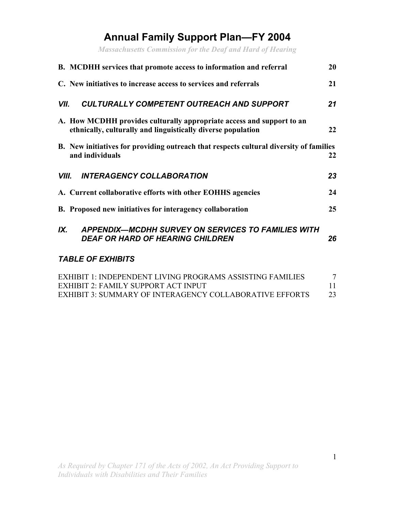*Massachusetts Commission for the Deaf and Hard of Hearing* 

| B. MCDHH services that promote access to information and referral                                                                     | 20 |
|---------------------------------------------------------------------------------------------------------------------------------------|----|
| C. New initiatives to increase access to services and referrals                                                                       | 21 |
| <b>CULTURALLY COMPETENT OUTREACH AND SUPPORT</b><br>VII.                                                                              | 21 |
| A. How MCDHH provides culturally appropriate access and support to an<br>ethnically, culturally and linguistically diverse population | 22 |
| <b>B.</b> New initiatives for providing outreach that respects cultural diversity of families<br>and individuals                      | 22 |
| <b>INTERAGENCY COLLABORATION</b><br>VIII.                                                                                             | 23 |
| A. Current collaborative efforts with other EOHHS agencies                                                                            | 24 |
| B. Proposed new initiatives for interagency collaboration                                                                             | 25 |
| <b>APPENDIX-MCDHH SURVEY ON SERVICES TO FAMILIES WITH</b><br>IX.<br><b>DEAF OR HARD OF HEARING CHILDREN</b>                           | 26 |

### *TABLE OF EXHIBITS*

| EXHIBIT 1: INDEPENDENT LIVING PROGRAMS ASSISTING FAMILIES | $\tau$ |
|-----------------------------------------------------------|--------|
| EXHIBIT 2: FAMILY SUPPORT ACT INPUT                       |        |
| EXHIBIT 3: SUMMARY OF INTERAGENCY COLLABORATIVE EFFORTS   | 23     |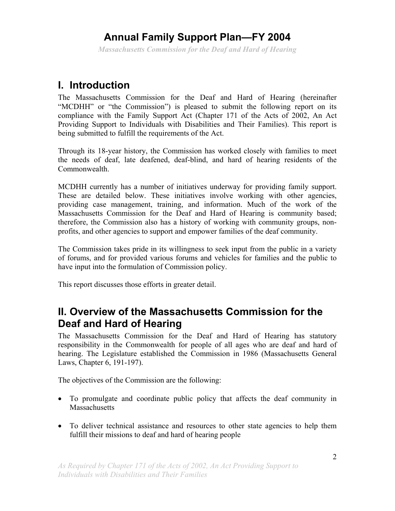*Massachusetts Commission for the Deaf and Hard of Hearing* 

### **I. Introduction**

The Massachusetts Commission for the Deaf and Hard of Hearing (hereinafter "MCDHH" or "the Commission") is pleased to submit the following report on its compliance with the Family Support Act (Chapter 171 of the Acts of 2002, An Act Providing Support to Individuals with Disabilities and Their Families). This report is being submitted to fulfill the requirements of the Act.

Through its 18-year history, the Commission has worked closely with families to meet the needs of deaf, late deafened, deaf-blind, and hard of hearing residents of the Commonwealth.

MCDHH currently has a number of initiatives underway for providing family support. These are detailed below. These initiatives involve working with other agencies, providing case management, training, and information. Much of the work of the Massachusetts Commission for the Deaf and Hard of Hearing is community based; therefore, the Commission also has a history of working with community groups, nonprofits, and other agencies to support and empower families of the deaf community.

The Commission takes pride in its willingness to seek input from the public in a variety of forums, and for provided various forums and vehicles for families and the public to have input into the formulation of Commission policy.

This report discusses those efforts in greater detail.

## **II. Overview of the Massachusetts Commission for the Deaf and Hard of Hearing**

The Massachusetts Commission for the Deaf and Hard of Hearing has statutory responsibility in the Commonwealth for people of all ages who are deaf and hard of hearing. The Legislature established the Commission in 1986 (Massachusetts General Laws, Chapter 6, 191-197).

The objectives of the Commission are the following:

- To promulgate and coordinate public policy that affects the deaf community in Massachusetts
- To deliver technical assistance and resources to other state agencies to help them fulfill their missions to deaf and hard of hearing people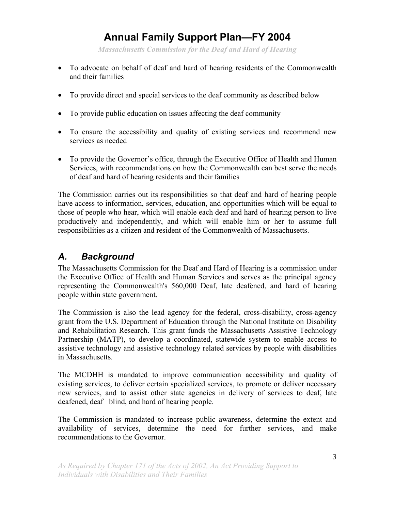*Massachusetts Commission for the Deaf and Hard of Hearing* 

- To advocate on behalf of deaf and hard of hearing residents of the Commonwealth and their families
- To provide direct and special services to the deaf community as described below
- To provide public education on issues affecting the deaf community
- To ensure the accessibility and quality of existing services and recommend new services as needed
- To provide the Governor's office, through the Executive Office of Health and Human Services, with recommendations on how the Commonwealth can best serve the needs of deaf and hard of hearing residents and their families

The Commission carries out its responsibilities so that deaf and hard of hearing people have access to information, services, education, and opportunities which will be equal to those of people who hear, which will enable each deaf and hard of hearing person to live productively and independently, and which will enable him or her to assume full responsibilities as a citizen and resident of the Commonwealth of Massachusetts.

### *A. Background*

The Massachusetts Commission for the Deaf and Hard of Hearing is a commission under the Executive Office of Health and Human Services and serves as the principal agency representing the Commonwealth's 560,000 Deaf, late deafened, and hard of hearing people within state government.

The Commission is also the lead agency for the federal, cross-disability, cross-agency grant from the U.S. Department of Education through the National Institute on Disability and Rehabilitation Research. This grant funds the Massachusetts Assistive Technology Partnership (MATP), to develop a coordinated, statewide system to enable access to assistive technology and assistive technology related services by people with disabilities in Massachusetts.

The MCDHH is mandated to improve communication accessibility and quality of existing services, to deliver certain specialized services, to promote or deliver necessary new services, and to assist other state agencies in delivery of services to deaf, late deafened, deaf –blind, and hard of hearing people.

The Commission is mandated to increase public awareness, determine the extent and availability of services, determine the need for further services, and make recommendations to the Governor.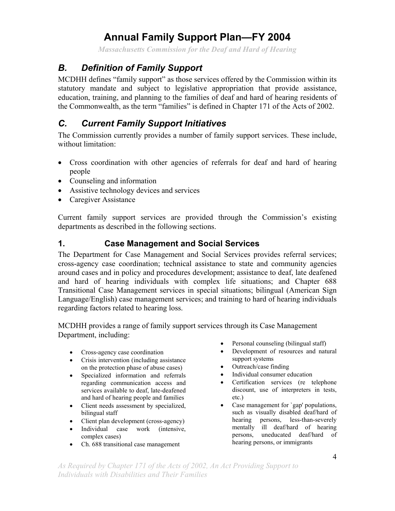*Massachusetts Commission for the Deaf and Hard of Hearing* 

### *B. Definition of Family Support*

MCDHH defines "family support" as those services offered by the Commission within its statutory mandate and subject to legislative appropriation that provide assistance, education, training, and planning to the families of deaf and hard of hearing residents of the Commonwealth, as the term "families" is defined in Chapter 171 of the Acts of 2002.

### *C. Current Family Support Initiatives*

The Commission currently provides a number of family support services. These include, without limitation:

- Cross coordination with other agencies of referrals for deaf and hard of hearing people
- Counseling and information
- Assistive technology devices and services
- Caregiver Assistance

Current family support services are provided through the Commission's existing departments as described in the following sections.

### **1. Case Management and Social Services**

The Department for Case Management and Social Services provides referral services; cross-agency case coordination; technical assistance to state and community agencies around cases and in policy and procedures development; assistance to deaf, late deafened and hard of hearing individuals with complex life situations; and Chapter 688 Transitional Case Management services in special situations; bilingual (American Sign Language/English) case management services; and training to hard of hearing individuals regarding factors related to hearing loss.

MCDHH provides a range of family support services through its Case Management Department, including:

- Cross-agency case coordination
- Crisis intervention (including assistance on the protection phase of abuse cases)
- Specialized information and referrals regarding communication access and services available to deaf, late-deafened and hard of hearing people and families
- Client needs assessment by specialized, bilingual staff
- Client plan development (cross-agency)
- Individual case work (intensive, complex cases)
- Ch. 688 transitional case management
- Personal counseling (bilingual staff)
- Development of resources and natural support systems
- Outreach/case finding
- Individual consumer education
- Certification services (re telephone discount, use of interpreters in tests, etc.)
- Case management for `gap' populations, such as visually disabled deaf/hard of hearing persons, less-than-severely mentally ill deaf/hard of hearing persons, uneducated deaf/hard of hearing persons, or immigrants

*As Required by Chapter 171 of the Acts of 2002, An Act Providing Support to Individuals with Disabilities and Their Families*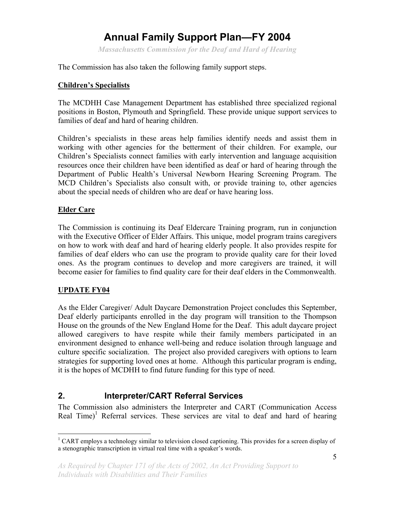*Massachusetts Commission for the Deaf and Hard of Hearing* 

The Commission has also taken the following family support steps.

#### **Children's Specialists**

The MCDHH Case Management Department has established three specialized regional positions in Boston, Plymouth and Springfield. These provide unique support services to families of deaf and hard of hearing children.

Children's specialists in these areas help families identify needs and assist them in working with other agencies for the betterment of their children. For example, our Children's Specialists connect families with early intervention and language acquisition resources once their children have been identified as deaf or hard of hearing through the Department of Public Health's Universal Newborn Hearing Screening Program. The MCD Children's Specialists also consult with, or provide training to, other agencies about the special needs of children who are deaf or have hearing loss.

#### **Elder Care**

The Commission is continuing its Deaf Eldercare Training program, run in conjunction with the Executive Officer of Elder Affairs. This unique, model program trains caregivers on how to work with deaf and hard of hearing elderly people. It also provides respite for families of deaf elders who can use the program to provide quality care for their loved ones. As the program continues to develop and more caregivers are trained, it will become easier for families to find quality care for their deaf elders in the Commonwealth.

#### **UPDATE FY04**

As the Elder Caregiver/ Adult Daycare Demonstration Project concludes this September, Deaf elderly participants enrolled in the day program will transition to the Thompson House on the grounds of the New England Home for the Deaf. This adult daycare project allowed caregivers to have respite while their family members participated in an environment designed to enhance well-being and reduce isolation through language and culture specific socialization. The project also provided caregivers with options to learn strategies for supporting loved ones at home. Although this particular program is ending, it is the hopes of MCDHH to find future funding for this type of need.

### **2. Interpreter/CART Referral Services**

The Commission also administers the Interpreter and CART (Communication Access Real Time)<sup>1</sup> Referral services. These services are vital to deaf and hard of hearing

 $\overline{a}$ <sup>1</sup> CART employs a technology similar to television closed captioning. This provides for a screen display of a stenographic transcription in virtual real time with a speaker's words.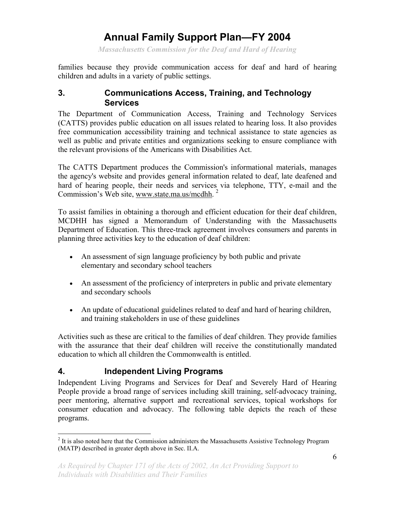*Massachusetts Commission for the Deaf and Hard of Hearing* 

families because they provide communication access for deaf and hard of hearing children and adults in a variety of public settings.

### **3. Communications Access, Training, and Technology Services**

The Department of Communication Access, Training and Technology Services (CATTS) provides public education on all issues related to hearing loss. It also provides free communication accessibility training and technical assistance to state agencies as well as public and private entities and organizations seeking to ensure compliance with the relevant provisions of the Americans with Disabilities Act.

The CATTS Department produces the Commission's informational materials, manages the agency's website and provides general information related to deaf, late deafened and hard of hearing people, their needs and services via telephone, TTY, e-mail and the Commission's Web site, www.state.ma.us/mcdhh.<sup>2</sup>

To assist families in obtaining a thorough and efficient education for their deaf children, MCDHH has signed a Memorandum of Understanding with the Massachusetts Department of Education. This three-track agreement involves consumers and parents in planning three activities key to the education of deaf children:

- An assessment of sign language proficiency by both public and private elementary and secondary school teachers
- An assessment of the proficiency of interpreters in public and private elementary and secondary schools
- An update of educational guidelines related to deaf and hard of hearing children, and training stakeholders in use of these guidelines

Activities such as these are critical to the families of deaf children. They provide families with the assurance that their deaf children will receive the constitutionally mandated education to which all children the Commonwealth is entitled.

### **4. Independent Living Programs**

 $\overline{a}$ 

Independent Living Programs and Services for Deaf and Severely Hard of Hearing People provide a broad range of services including skill training, self-advocacy training, peer mentoring, alternative support and recreational services, topical workshops for consumer education and advocacy. The following table depicts the reach of these programs.

 $2$  It is also noted here that the Commission administers the Massachusetts Assistive Technology Program (MATP) described in greater depth above in Sec. II.A.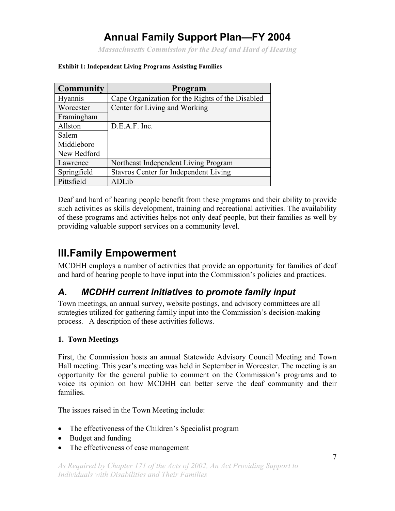*Massachusetts Commission for the Deaf and Hard of Hearing* 

| <b>Community</b> | Program                                          |
|------------------|--------------------------------------------------|
| Hyannis          | Cape Organization for the Rights of the Disabled |
| Worcester        | Center for Living and Working                    |
| Framingham       |                                                  |
| Allston          | D.E.A.F. Inc.                                    |
| Salem            |                                                  |
| Middleboro       |                                                  |
| New Bedford      |                                                  |
| Lawrence         | Northeast Independent Living Program             |
| Springfield      | <b>Stavros Center for Independent Living</b>     |
| Pittsfield       | ADLib                                            |

### **Exhibit 1: Independent Living Programs Assisting Families**

Deaf and hard of hearing people benefit from these programs and their ability to provide such activities as skills development, training and recreational activities. The availability of these programs and activities helps not only deaf people, but their families as well by providing valuable support services on a community level.

# **III. Family Empowerment**

MCDHH employs a number of activities that provide an opportunity for families of deaf and hard of hearing people to have input into the Commission's policies and practices.

### *A. MCDHH current initiatives to promote family input*

Town meetings, an annual survey, website postings, and advisory committees are all strategies utilized for gathering family input into the Commission's decision-making process. A description of these activities follows.

### **1. Town Meetings**

First, the Commission hosts an annual Statewide Advisory Council Meeting and Town Hall meeting. This year's meeting was held in September in Worcester. The meeting is an opportunity for the general public to comment on the Commission's programs and to voice its opinion on how MCDHH can better serve the deaf community and their families.

The issues raised in the Town Meeting include:

- The effectiveness of the Children's Specialist program
- Budget and funding
- The effectiveness of case management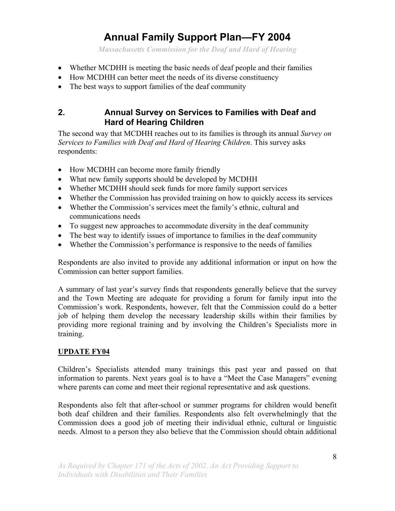*Massachusetts Commission for the Deaf and Hard of Hearing* 

- Whether MCDHH is meeting the basic needs of deaf people and their families
- How MCDHH can better meet the needs of its diverse constituency
- The best ways to support families of the deaf community

### **2. Annual Survey on Services to Families with Deaf and Hard of Hearing Children**

The second way that MCDHH reaches out to its families is through its annual *Survey on Services to Families with Deaf and Hard of Hearing Children*. This survey asks respondents:

- How MCDHH can become more family friendly
- What new family supports should be developed by MCDHH
- Whether MCDHH should seek funds for more family support services
- Whether the Commission has provided training on how to quickly access its services
- Whether the Commission's services meet the family's ethnic, cultural and communications needs
- To suggest new approaches to accommodate diversity in the deaf community
- The best way to identify issues of importance to families in the deaf community
- Whether the Commission's performance is responsive to the needs of families

Respondents are also invited to provide any additional information or input on how the Commission can better support families.

A summary of last year's survey finds that respondents generally believe that the survey and the Town Meeting are adequate for providing a forum for family input into the Commission's work. Respondents, however, felt that the Commission could do a better job of helping them develop the necessary leadership skills within their families by providing more regional training and by involving the Children's Specialists more in training.

### **UPDATE FY04**

Children's Specialists attended many trainings this past year and passed on that information to parents. Next years goal is to have a "Meet the Case Managers" evening where parents can come and meet their regional representative and ask questions.

Respondents also felt that after-school or summer programs for children would benefit both deaf children and their families. Respondents also felt overwhelmingly that the Commission does a good job of meeting their individual ethnic, cultural or linguistic needs. Almost to a person they also believe that the Commission should obtain additional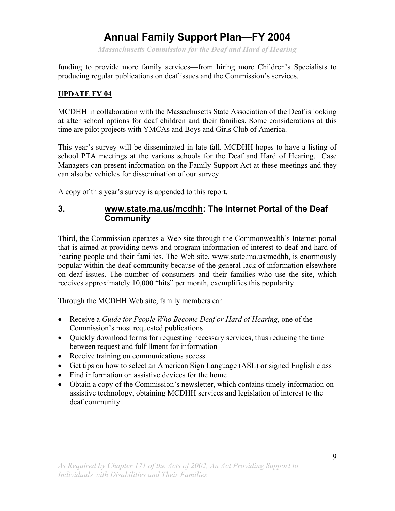*Massachusetts Commission for the Deaf and Hard of Hearing* 

funding to provide more family services—from hiring more Children's Specialists to producing regular publications on deaf issues and the Commission's services.

#### **UPDATE FY 04**

MCDHH in collaboration with the Massachusetts State Association of the Deaf is looking at after school options for deaf children and their families. Some considerations at this time are pilot projects with YMCAs and Boys and Girls Club of America.

This year's survey will be disseminated in late fall. MCDHH hopes to have a listing of school PTA meetings at the various schools for the Deaf and Hard of Hearing. Case Managers can present information on the Family Support Act at these meetings and they can also be vehicles for dissemination of our survey.

A copy of this year's survey is appended to this report.

### **3. www.state.ma.us/mcdhh: The Internet Portal of the Deaf Community**

Third, the Commission operates a Web site through the Commonwealth's Internet portal that is aimed at providing news and program information of interest to deaf and hard of hearing people and their families. The Web site, www.state.ma.us/mcdhh, is enormously popular within the deaf community because of the general lack of information elsewhere on deaf issues. The number of consumers and their families who use the site, which receives approximately 10,000 "hits" per month, exemplifies this popularity.

Through the MCDHH Web site, family members can:

- Receive a *Guide for People Who Become Deaf or Hard of Hearing*, one of the Commission's most requested publications
- Quickly download forms for requesting necessary services, thus reducing the time between request and fulfillment for information
- Receive training on communications access
- Get tips on how to select an American Sign Language (ASL) or signed English class
- Find information on assistive devices for the home
- Obtain a copy of the Commission's newsletter, which contains timely information on assistive technology, obtaining MCDHH services and legislation of interest to the deaf community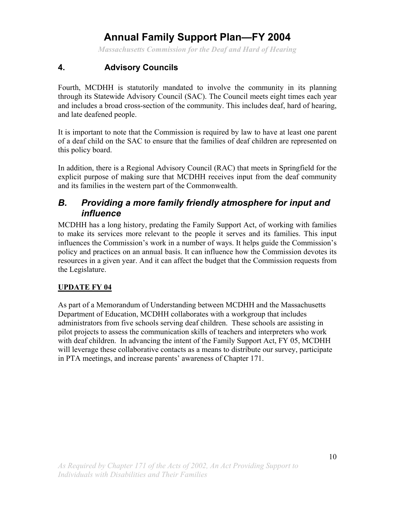*Massachusetts Commission for the Deaf and Hard of Hearing* 

### **4. Advisory Councils**

Fourth, MCDHH is statutorily mandated to involve the community in its planning through its Statewide Advisory Council (SAC). The Council meets eight times each year and includes a broad cross-section of the community. This includes deaf, hard of hearing, and late deafened people.

It is important to note that the Commission is required by law to have at least one parent of a deaf child on the SAC to ensure that the families of deaf children are represented on this policy board.

In addition, there is a Regional Advisory Council (RAC) that meets in Springfield for the explicit purpose of making sure that MCDHH receives input from the deaf community and its families in the western part of the Commonwealth.

### *B. Providing a more family friendly atmosphere for input and influence*

MCDHH has a long history, predating the Family Support Act, of working with families to make its services more relevant to the people it serves and its families. This input influences the Commission's work in a number of ways. It helps guide the Commission's policy and practices on an annual basis. It can influence how the Commission devotes its resources in a given year. And it can affect the budget that the Commission requests from the Legislature.

### **UPDATE FY 04**

As part of a Memorandum of Understanding between MCDHH and the Massachusetts Department of Education, MCDHH collaborates with a workgroup that includes administrators from five schools serving deaf children. These schools are assisting in pilot projects to assess the communication skills of teachers and interpreters who work with deaf children. In advancing the intent of the Family Support Act, FY 05, MCDHH will leverage these collaborative contacts as a means to distribute our survey, participate in PTA meetings, and increase parents' awareness of Chapter 171.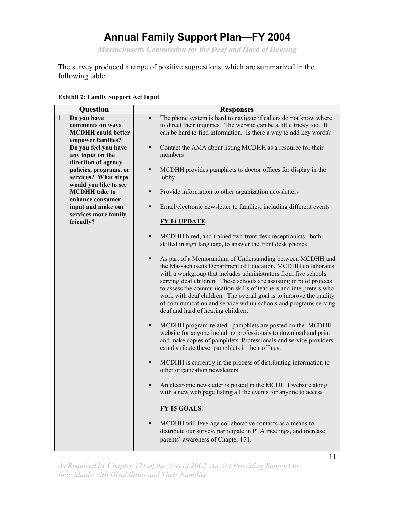*Massachusetts Commission for the Deaf and Hard of Hearing* 

The survey produced a range of positive suggestions, which are summarized in the following table.

|    | <b>Question</b>                          | <b>Responses</b>                                                                    |                                                                                                                                         |  |
|----|------------------------------------------|-------------------------------------------------------------------------------------|-----------------------------------------------------------------------------------------------------------------------------------------|--|
| 1. | Do you have                              | The phone system is hard to navigate if callers do not know where<br>$\blacksquare$ |                                                                                                                                         |  |
|    | comments on ways                         |                                                                                     | to direct their inquiries. The website can be a little tricky too. It                                                                   |  |
|    | <b>MCDHH</b> could better                |                                                                                     | can be hard to find information. Is there a way to add key words?                                                                       |  |
|    | empower families?                        |                                                                                     |                                                                                                                                         |  |
|    | Do you feel you have                     | ٠                                                                                   | Contact the AMA about listing MCDHH as a resource for their                                                                             |  |
|    | any input on the                         |                                                                                     | members                                                                                                                                 |  |
|    | direction of agency                      |                                                                                     |                                                                                                                                         |  |
|    | policies, programs, or                   | MCDHH provides pamphlets to doctor offices for display in the<br>٠                  |                                                                                                                                         |  |
|    | services? What steps                     |                                                                                     | lobby                                                                                                                                   |  |
|    | would you like to see                    | п                                                                                   |                                                                                                                                         |  |
|    | <b>MCDHH</b> take to<br>enhance consumer |                                                                                     | Provide information to other organization newsletters                                                                                   |  |
|    | input and make our                       | п                                                                                   | Email/electronic newsletter to families, including different events                                                                     |  |
|    | services more family                     |                                                                                     |                                                                                                                                         |  |
|    | friendly?                                |                                                                                     | <b>FY 04 UPDATE:</b>                                                                                                                    |  |
|    |                                          |                                                                                     |                                                                                                                                         |  |
|    |                                          | ٠                                                                                   | MCDHH hired, and trained two front desk receptionists, both                                                                             |  |
|    |                                          |                                                                                     | skilled in sign language, to answer the front desk phones                                                                               |  |
|    |                                          |                                                                                     |                                                                                                                                         |  |
|    |                                          | ٠                                                                                   | As part of a Memorandum of Understanding between MCDHH and                                                                              |  |
|    |                                          |                                                                                     | the Massachusetts Department of Education, MCDHH collaborates                                                                           |  |
|    |                                          |                                                                                     | with a workgroup that includes administrators from five schools                                                                         |  |
|    |                                          |                                                                                     | serving deaf children. These schools are assisting in pilot projects                                                                    |  |
|    |                                          |                                                                                     | to assess the communication skills of teachers and interpreters who                                                                     |  |
|    |                                          |                                                                                     | work with deaf children. The overall goal is to improve the quality<br>of communication and service within schools and programs serving |  |
|    |                                          |                                                                                     | deaf and hard of hearing children.                                                                                                      |  |
|    |                                          |                                                                                     |                                                                                                                                         |  |
|    |                                          | ٠                                                                                   | MCDHH program-related pamphlets are posted on the MCDHH                                                                                 |  |
|    |                                          |                                                                                     | website for anyone including professionals to download and print                                                                        |  |
|    |                                          |                                                                                     | and make copies of pamphlets. Professionals and service providers                                                                       |  |
|    |                                          |                                                                                     | can distribute these pamphlets in their offices.                                                                                        |  |
|    |                                          |                                                                                     |                                                                                                                                         |  |
|    |                                          | ٠                                                                                   | MCDHH is currently in the process of distributing information to                                                                        |  |
|    |                                          |                                                                                     | other organization newsletters                                                                                                          |  |
|    |                                          |                                                                                     |                                                                                                                                         |  |
|    |                                          | п                                                                                   | An electronic newsletter is posted in the MCDHH website along                                                                           |  |
|    |                                          |                                                                                     | with a new web page listing all the events for anyone to access                                                                         |  |
|    |                                          |                                                                                     |                                                                                                                                         |  |
|    |                                          |                                                                                     | FY 05 GOALS:                                                                                                                            |  |
|    |                                          | ٠                                                                                   | MCDHH will leverage collaborative contacts as a means to                                                                                |  |
|    |                                          |                                                                                     | distribute our survey, participate in PTA meetings, and increase                                                                        |  |
|    |                                          |                                                                                     | parents' awareness of Chapter 171.                                                                                                      |  |
|    |                                          |                                                                                     |                                                                                                                                         |  |

#### **Exhibit 2: Family Support Act Input**

*As Required by Chapter 171 of the Acts of 2002, An Act Providing Support to Individuals with Disabilities and Their Families*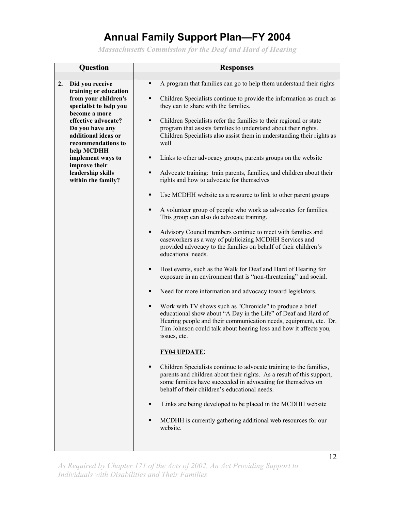*Massachusetts Commission for the Deaf and Hard of Hearing* 

| <b>Question</b><br><b>Responses</b>                                                               |                                                                                                                                                                                                                                                                                            |
|---------------------------------------------------------------------------------------------------|--------------------------------------------------------------------------------------------------------------------------------------------------------------------------------------------------------------------------------------------------------------------------------------------|
|                                                                                                   |                                                                                                                                                                                                                                                                                            |
| Did you receive<br>2.<br>training or education                                                    | A program that families can go to help them understand their rights<br>٠                                                                                                                                                                                                                   |
| from your children's<br>specialist to help you<br>become a more                                   | Children Specialists continue to provide the information as much as<br>٠<br>they can to share with the families.                                                                                                                                                                           |
| effective advocate?<br>Do you have any<br>additional ideas or<br>recommendations to<br>help MCDHH | Children Specialists refer the families to their regional or state<br>program that assists families to understand about their rights.<br>Children Specialists also assist them in understanding their rights as<br>well                                                                    |
| implement ways to<br>improve their                                                                | Links to other advocacy groups, parents groups on the website<br>٠                                                                                                                                                                                                                         |
| leadership skills<br>within the family?                                                           | Advocate training: train parents, families, and children about their<br>٠<br>rights and how to advocate for themselves                                                                                                                                                                     |
|                                                                                                   | Use MCDHH website as a resource to link to other parent groups<br>٠                                                                                                                                                                                                                        |
|                                                                                                   | A volunteer group of people who work as advocates for families.<br>This group can also do advocate training.                                                                                                                                                                               |
|                                                                                                   | Advisory Council members continue to meet with families and<br>$\blacksquare$<br>caseworkers as a way of publicizing MCDHH Services and<br>provided advocacy to the families on behalf of their children's<br>educational needs.                                                           |
|                                                                                                   | Host events, such as the Walk for Deaf and Hard of Hearing for<br>٠<br>exposure in an environment that is "non-threatening" and social.                                                                                                                                                    |
|                                                                                                   | Need for more information and advocacy toward legislators.<br>٠                                                                                                                                                                                                                            |
|                                                                                                   | Work with TV shows such as "Chronicle" to produce a brief<br>٠<br>educational show about "A Day in the Life" of Deaf and Hard of<br>Hearing people and their communication needs, equipment, etc. Dr.<br>Tim Johnson could talk about hearing loss and how it affects you,<br>issues, etc. |
|                                                                                                   | <b>FY04 UPDATE:</b>                                                                                                                                                                                                                                                                        |
|                                                                                                   | Children Specialists continue to advocate training to the families,<br>parents and children about their rights. As a result of this support,<br>some families have succeeded in advocating for themselves on<br>behalf of their children's educational needs.                              |
|                                                                                                   | Links are being developed to be placed in the MCDHH website<br>٠                                                                                                                                                                                                                           |
|                                                                                                   | MCDHH is currently gathering additional web resources for our<br>٠<br>website.                                                                                                                                                                                                             |
|                                                                                                   |                                                                                                                                                                                                                                                                                            |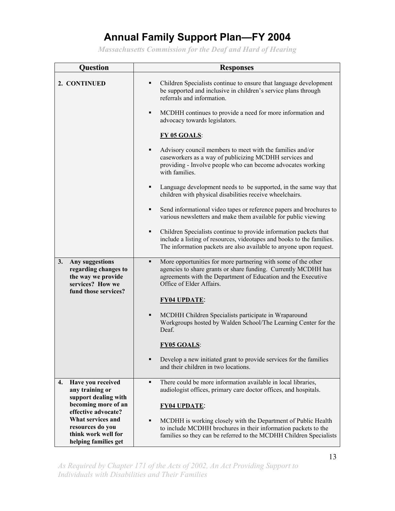*Massachusetts Commission for the Deaf and Hard of Hearing* 

| <b>Question</b>                                                                                                 | <b>Responses</b>                                                                                                                                                                                                                  |  |
|-----------------------------------------------------------------------------------------------------------------|-----------------------------------------------------------------------------------------------------------------------------------------------------------------------------------------------------------------------------------|--|
| 2. CONTINUED                                                                                                    | Children Specialists continue to ensure that language development<br>be supported and inclusive in children's service plans through<br>referrals and information.                                                                 |  |
|                                                                                                                 | MCDHH continues to provide a need for more information and<br>٠<br>advocacy towards legislators.                                                                                                                                  |  |
|                                                                                                                 | <b>FY 05 GOALS:</b>                                                                                                                                                                                                               |  |
|                                                                                                                 | Advisory council members to meet with the families and/or<br>٠<br>caseworkers as a way of publicizing MCDHH services and<br>providing - Involve people who can become advocates working<br>with families.                         |  |
|                                                                                                                 | Language development needs to be supported, in the same way that<br>children with physical disabilities receive wheelchairs.                                                                                                      |  |
|                                                                                                                 | Send informational video tapes or reference papers and brochures to<br>٠<br>various newsletters and make them available for public viewing                                                                                        |  |
|                                                                                                                 | Children Specialists continue to provide information packets that<br>٠<br>include a listing of resources, videotapes and books to the families.<br>The information packets are also available to anyone upon request.             |  |
| 3.<br>Any suggestions<br>regarding changes to<br>the way we provide<br>services? How we<br>fund those services? | More opportunities for more partnering with some of the other<br>٠<br>agencies to share grants or share funding. Currently MCDHH has<br>agreements with the Department of Education and the Executive<br>Office of Elder Affairs. |  |
|                                                                                                                 | <b>FY04 UPDATE:</b>                                                                                                                                                                                                               |  |
|                                                                                                                 | MCDHH Children Specialists participate in Wraparound<br>Workgroups hosted by Walden School/The Learning Center for the<br>Deaf.                                                                                                   |  |
|                                                                                                                 | <b>FY05 GOALS:</b>                                                                                                                                                                                                                |  |
|                                                                                                                 | Develop a new initiated grant to provide services for the families<br>and their children in two locations.                                                                                                                        |  |
| Have you received<br>4.<br>any training or<br>support dealing with                                              | There could be more information available in local libraries,<br>٠<br>audiologist offices, primary care doctor offices, and hospitals.                                                                                            |  |
| becoming more of an<br>effective advocate?                                                                      | <b>FY04 UPDATE:</b>                                                                                                                                                                                                               |  |
| What services and<br>resources do you<br>think work well for<br>helping families get                            | MCDHH is working closely with the Department of Public Health<br>to include MCDHH brochures in their information packets to the<br>families so they can be referred to the MCDHH Children Specialists                             |  |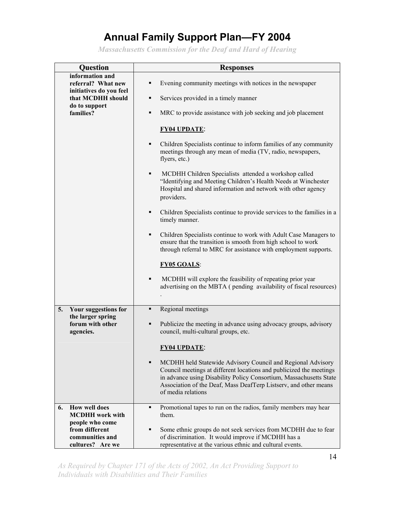*Massachusetts Commission for the Deaf and Hard of Hearing* 

| <b>Question</b>                                                          | <b>Responses</b>                                                                                                                                                                                                                                                                                        |  |  |
|--------------------------------------------------------------------------|---------------------------------------------------------------------------------------------------------------------------------------------------------------------------------------------------------------------------------------------------------------------------------------------------------|--|--|
| information and<br>referral? What new                                    | Evening community meetings with notices in the newspaper                                                                                                                                                                                                                                                |  |  |
| initiatives do you feel<br>that MCDHH should                             | Services provided in a timely manner<br>٠                                                                                                                                                                                                                                                               |  |  |
| do to support<br>families?                                               | MRC to provide assistance with job seeking and job placement<br>٠                                                                                                                                                                                                                                       |  |  |
|                                                                          | <b>FY04 UPDATE:</b>                                                                                                                                                                                                                                                                                     |  |  |
|                                                                          | Children Specialists continue to inform families of any community<br>$\blacksquare$<br>meetings through any mean of media (TV, radio, newspapers,<br>flyers, etc.)                                                                                                                                      |  |  |
|                                                                          | MCDHH Children Specialists attended a workshop called<br>٠<br>"Identifying and Meeting Children's Health Needs at Winchester<br>Hospital and shared information and network with other agency<br>providers.                                                                                             |  |  |
|                                                                          | Children Specialists continue to provide services to the families in a<br>٠<br>timely manner.                                                                                                                                                                                                           |  |  |
|                                                                          | Children Specialists continue to work with Adult Case Managers to<br>٠<br>ensure that the transition is smooth from high school to work<br>through referral to MRC for assistance with employment supports.                                                                                             |  |  |
|                                                                          | <b>FY05 GOALS:</b>                                                                                                                                                                                                                                                                                      |  |  |
|                                                                          | MCDHH will explore the feasibility of repeating prior year<br>٠<br>advertising on the MBTA (pending availability of fiscal resources)                                                                                                                                                                   |  |  |
| Your suggestions for<br>5.                                               | Regional meetings<br>٠                                                                                                                                                                                                                                                                                  |  |  |
| the larger spring<br>forum with other<br>agencies.                       | Publicize the meeting in advance using advocacy groups, advisory<br>Ξ<br>council, multi-cultural groups, etc.                                                                                                                                                                                           |  |  |
|                                                                          | <b>FY04 UPDATE:</b>                                                                                                                                                                                                                                                                                     |  |  |
|                                                                          | MCDHH held Statewide Advisory Council and Regional Advisory<br>п<br>Council meetings at different locations and publicized the meetings<br>in advance using Disability Policy Consortium, Massachusetts State<br>Association of the Deaf, Mass DeafTerp Listserv, and other means<br>of media relations |  |  |
| <b>How well does</b><br>6.<br><b>MCDHH</b> work with                     | Promotional tapes to run on the radios, family members may hear<br>$\blacksquare$<br>them.                                                                                                                                                                                                              |  |  |
| people who come<br>from different<br>communities and<br>cultures? Are we | Some ethnic groups do not seek services from MCDHH due to fear<br>٠<br>of discrimination. It would improve if MCDHH has a<br>representative at the various ethnic and cultural events.                                                                                                                  |  |  |

*As Required by Chapter 171 of the Acts of 2002, An Act Providing Support to Individuals with Disabilities and Their Families*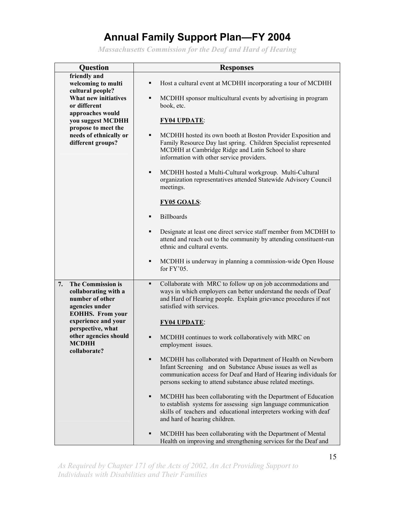*Massachusetts Commission for the Deaf and Hard of Hearing* 

| <b>Question</b>                                                                                                 | <b>Responses</b>                                                                                                                                                                                                                                                  |  |
|-----------------------------------------------------------------------------------------------------------------|-------------------------------------------------------------------------------------------------------------------------------------------------------------------------------------------------------------------------------------------------------------------|--|
| friendly and                                                                                                    |                                                                                                                                                                                                                                                                   |  |
| welcoming to multi<br>cultural people?                                                                          | Host a cultural event at MCDHH incorporating a tour of MCDHH                                                                                                                                                                                                      |  |
| What new initiatives<br>or different<br>approaches would                                                        | MCDHH sponsor multicultural events by advertising in program<br>٠<br>book, etc.                                                                                                                                                                                   |  |
| you suggest MCDHH<br>propose to meet the                                                                        | <b>FY04 UPDATE:</b>                                                                                                                                                                                                                                               |  |
| needs of ethnically or<br>different groups?                                                                     | MCDHH hosted its own booth at Boston Provider Exposition and<br>٠<br>Family Resource Day last spring. Children Specialist represented<br>MCDHH at Cambridge Ridge and Latin School to share<br>information with other service providers.                          |  |
|                                                                                                                 | MCDHH hosted a Multi-Cultural workgroup. Multi-Cultural<br>$\blacksquare$<br>organization representatives attended Statewide Advisory Council<br>meetings.                                                                                                        |  |
|                                                                                                                 | <b>FY05 GOALS:</b>                                                                                                                                                                                                                                                |  |
|                                                                                                                 | <b>Billboards</b><br>п                                                                                                                                                                                                                                            |  |
|                                                                                                                 | Designate at least one direct service staff member from MCDHH to<br>٠<br>attend and reach out to the community by attending constituent-run<br>ethnic and cultural events.                                                                                        |  |
|                                                                                                                 | MCDHH is underway in planning a commission-wide Open House<br>٠<br>for FY'05.                                                                                                                                                                                     |  |
| The Commission is<br>7.<br>collaborating with a<br>number of other<br>agencies under<br><b>EOHHS.</b> From your | Collaborate with MRC to follow up on job accommodations and<br>$\blacksquare$<br>ways in which employers can better understand the needs of Deaf<br>and Hard of Hearing people. Explain grievance procedures if not<br>satisfied with services.                   |  |
| experience and your                                                                                             | <b>FY04 UPDATE:</b>                                                                                                                                                                                                                                               |  |
| perspective, what<br>other agencies should<br><b>MCDHH</b><br>collaborate?                                      | MCDHH continues to work collaboratively with MRC on<br>п<br>employment issues.                                                                                                                                                                                    |  |
|                                                                                                                 | MCDHH has collaborated with Department of Health on Newborn<br>п<br>Infant Screening and on Substance Abuse issues as well as<br>communication access for Deaf and Hard of Hearing individuals for<br>persons seeking to attend substance abuse related meetings. |  |
|                                                                                                                 | MCDHH has been collaborating with the Department of Education<br>٠<br>to establish systems for assessing sign language communication<br>skills of teachers and educational interpreters working with deaf<br>and hard of hearing children.                        |  |
|                                                                                                                 | MCDHH has been collaborating with the Department of Mental<br>Ξ<br>Health on improving and strengthening services for the Deaf and                                                                                                                                |  |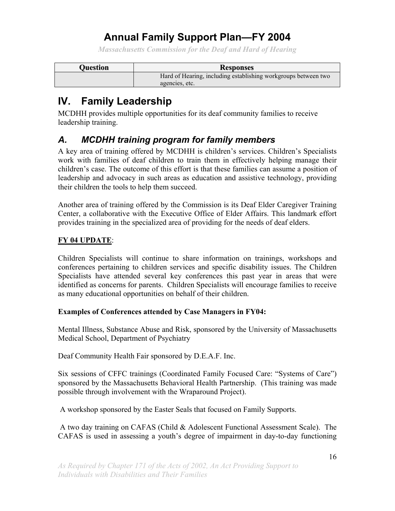*Massachusetts Commission for the Deaf and Hard of Hearing* 

| Ouestion | <b>Responses</b>                                                                 |  |
|----------|----------------------------------------------------------------------------------|--|
|          | Hard of Hearing, including establishing workgroups between two<br>agencies, etc. |  |

# **IV. Family Leadership**

MCDHH provides multiple opportunities for its deaf community families to receive leadership training.

### *A. MCDHH training program for family members*

A key area of training offered by MCDHH is children's services. Children's Specialists work with families of deaf children to train them in effectively helping manage their children's case. The outcome of this effort is that these families can assume a position of leadership and advocacy in such areas as education and assistive technology, providing their children the tools to help them succeed.

Another area of training offered by the Commission is its Deaf Elder Caregiver Training Center, a collaborative with the Executive Office of Elder Affairs. This landmark effort provides training in the specialized area of providing for the needs of deaf elders.

### **FY 04 UPDATE**:

Children Specialists will continue to share information on trainings, workshops and conferences pertaining to children services and specific disability issues. The Children Specialists have attended several key conferences this past year in areas that were identified as concerns for parents. Children Specialists will encourage families to receive as many educational opportunities on behalf of their children.

### **Examples of Conferences attended by Case Managers in FY04:**

Mental Illness, Substance Abuse and Risk, sponsored by the University of Massachusetts Medical School, Department of Psychiatry

Deaf Community Health Fair sponsored by D.E.A.F. Inc.

Six sessions of CFFC trainings (Coordinated Family Focused Care: "Systems of Care") sponsored by the Massachusetts Behavioral Health Partnership. (This training was made possible through involvement with the Wraparound Project).

A workshop sponsored by the Easter Seals that focused on Family Supports.

 A two day training on CAFAS (Child & Adolescent Functional Assessment Scale). The CAFAS is used in assessing a youth's degree of impairment in day-to-day functioning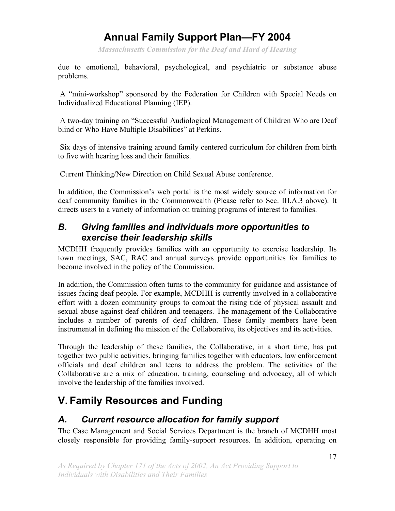*Massachusetts Commission for the Deaf and Hard of Hearing* 

due to emotional, behavioral, psychological, and psychiatric or substance abuse problems.

 A "mini-workshop" sponsored by the Federation for Children with Special Needs on Individualized Educational Planning (IEP).

 A two-day training on "Successful Audiological Management of Children Who are Deaf blind or Who Have Multiple Disabilities" at Perkins.

 Six days of intensive training around family centered curriculum for children from birth to five with hearing loss and their families.

Current Thinking/New Direction on Child Sexual Abuse conference.

In addition, the Commission's web portal is the most widely source of information for deaf community families in the Commonwealth (Please refer to Sec. III.A.3 above). It directs users to a variety of information on training programs of interest to families.

### *B. Giving families and individuals more opportunities to exercise their leadership skills*

MCDHH frequently provides families with an opportunity to exercise leadership. Its town meetings, SAC, RAC and annual surveys provide opportunities for families to become involved in the policy of the Commission.

In addition, the Commission often turns to the community for guidance and assistance of issues facing deaf people. For example, MCDHH is currently involved in a collaborative effort with a dozen community groups to combat the rising tide of physical assault and sexual abuse against deaf children and teenagers. The management of the Collaborative includes a number of parents of deaf children. These family members have been instrumental in defining the mission of the Collaborative, its objectives and its activities.

Through the leadership of these families, the Collaborative, in a short time, has put together two public activities, bringing families together with educators, law enforcement officials and deaf children and teens to address the problem. The activities of the Collaborative are a mix of education, training, counseling and advocacy, all of which involve the leadership of the families involved.

# **V. Family Resources and Funding**

### *A. Current resource allocation for family support*

The Case Management and Social Services Department is the branch of MCDHH most closely responsible for providing family-support resources. In addition, operating on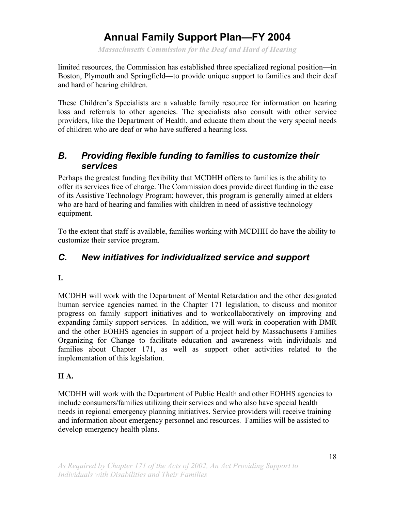*Massachusetts Commission for the Deaf and Hard of Hearing* 

limited resources, the Commission has established three specialized regional position—in Boston, Plymouth and Springfield—to provide unique support to families and their deaf and hard of hearing children.

These Children's Specialists are a valuable family resource for information on hearing loss and referrals to other agencies. The specialists also consult with other service providers, like the Department of Health, and educate them about the very special needs of children who are deaf or who have suffered a hearing loss.

### *B. Providing flexible funding to families to customize their services*

Perhaps the greatest funding flexibility that MCDHH offers to families is the ability to offer its services free of charge. The Commission does provide direct funding in the case of its Assistive Technology Program; however, this program is generally aimed at elders who are hard of hearing and families with children in need of assistive technology equipment.

To the extent that staff is available, families working with MCDHH do have the ability to customize their service program.

### *C. New initiatives for individualized service and support*

### **I.**

MCDHH will work with the Department of Mental Retardation and the other designated human service agencies named in the Chapter 171 legislation, to discuss and monitor progress on family support initiatives and to workcollaboratively on improving and expanding family support services. In addition, we will work in cooperation with DMR and the other EOHHS agencies in support of a project held by Massachusetts Families Organizing for Change to facilitate education and awareness with individuals and families about Chapter 171, as well as support other activities related to the implementation of this legislation.

### **II A.**

MCDHH will work with the Department of Public Health and other EOHHS agencies to include consumers/families utilizing their services and who also have special health needs in regional emergency planning initiatives. Service providers will receive training and information about emergency personnel and resources. Families will be assisted to develop emergency health plans.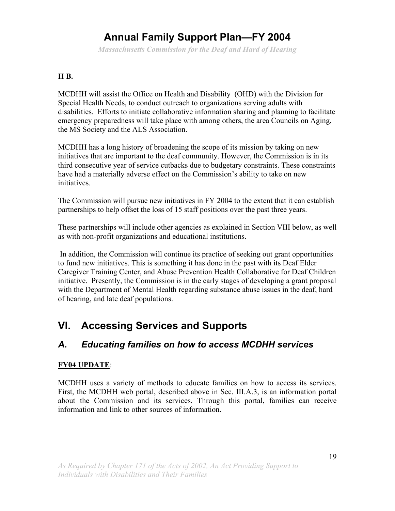*Massachusetts Commission for the Deaf and Hard of Hearing* 

### **II B.**

MCDHH will assist the Office on Health and Disability (OHD) with the Division for Special Health Needs, to conduct outreach to organizations serving adults with disabilities. Efforts to initiate collaborative information sharing and planning to facilitate emergency preparedness will take place with among others, the area Councils on Aging, the MS Society and the ALS Association.

MCDHH has a long history of broadening the scope of its mission by taking on new initiatives that are important to the deaf community. However, the Commission is in its third consecutive year of service cutbacks due to budgetary constraints. These constraints have had a materially adverse effect on the Commission's ability to take on new initiatives.

The Commission will pursue new initiatives in FY 2004 to the extent that it can establish partnerships to help offset the loss of 15 staff positions over the past three years.

These partnerships will include other agencies as explained in Section VIII below, as well as with non-profit organizations and educational institutions.

 In addition, the Commission will continue its practice of seeking out grant opportunities to fund new initiatives. This is something it has done in the past with its Deaf Elder Caregiver Training Center, and Abuse Prevention Health Collaborative for Deaf Children initiative. Presently, the Commission is in the early stages of developing a grant proposal with the Department of Mental Health regarding substance abuse issues in the deaf, hard of hearing, and late deaf populations.

## **VI. Accessing Services and Supports**

### *A. Educating families on how to access MCDHH services*

### **FY04 UPDATE**:

MCDHH uses a variety of methods to educate families on how to access its services. First, the MCDHH web portal, described above in Sec. III.A.3, is an information portal about the Commission and its services. Through this portal, families can receive information and link to other sources of information.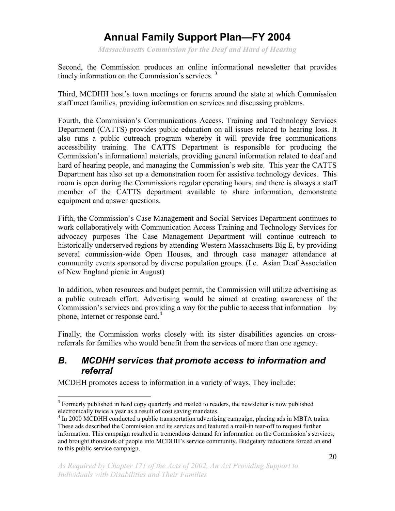*Massachusetts Commission for the Deaf and Hard of Hearing* 

Second, the Commission produces an online informational newsletter that provides timely information on the Commission's services.<sup>3</sup>

Third, MCDHH host's town meetings or forums around the state at which Commission staff meet families, providing information on services and discussing problems.

Fourth, the Commission's Communications Access, Training and Technology Services Department (CATTS) provides public education on all issues related to hearing loss. It also runs a public outreach program whereby it will provide free communications accessibility training. The CATTS Department is responsible for producing the Commission's informational materials, providing general information related to deaf and hard of hearing people, and managing the Commission's web site. This year the CATTS Department has also set up a demonstration room for assistive technology devices. This room is open during the Commissions regular operating hours, and there is always a staff member of the CATTS department available to share information, demonstrate equipment and answer questions.

Fifth, the Commission's Case Management and Social Services Department continues to work collaboratively with Communication Access Training and Technology Services for advocacy purposes The Case Management Department will continue outreach to historically underserved regions by attending Western Massachusetts Big E, by providing several commission-wide Open Houses, and through case manager attendance at community events sponsored by diverse population groups. (I.e. Asian Deaf Association of New England picnic in August)

In addition, when resources and budget permit, the Commission will utilize advertising as a public outreach effort. Advertising would be aimed at creating awareness of the Commission's services and providing a way for the public to access that information—by phone, Internet or response card.<sup>4</sup>

Finally, the Commission works closely with its sister disabilities agencies on crossreferrals for families who would benefit from the services of more than one agency.

### *B. MCDHH services that promote access to information and referral*

MCDHH promotes access to information in a variety of ways. They include:

 $\overline{a}$  $3$  Formerly published in hard copy quarterly and mailed to readers, the newsletter is now published electronically twice a year as a result of cost saving mandates. 4

<sup>&</sup>lt;sup>4</sup> In 2000 MCDHH conducted a public transportation advertising campaign, placing ads in MBTA trains. These ads described the Commission and its services and featured a mail-in tear-off to request further information. This campaign resulted in tremendous demand for information on the Commission's services, and brought thousands of people into MCDHH's service community. Budgetary reductions forced an end to this public service campaign.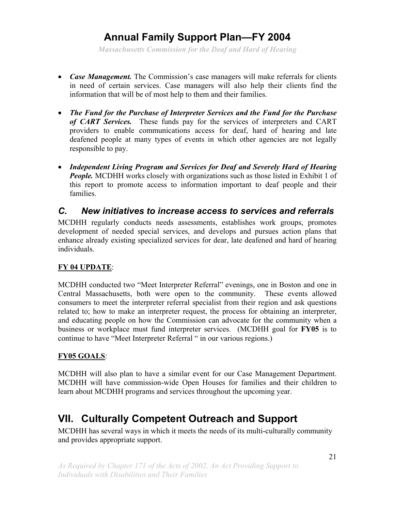*Massachusetts Commission for the Deaf and Hard of Hearing* 

- *Case Management*. The Commission's case managers will make referrals for clients in need of certain services. Case managers will also help their clients find the information that will be of most help to them and their families.
- *The Fund for the Purchase of Interpreter Services and the Fund for the Purchase of CART Services.* These funds pay for the services of interpreters and CART providers to enable communications access for deaf, hard of hearing and late deafened people at many types of events in which other agencies are not legally responsible to pay.
- *Independent Living Program and Services for Deaf and Severely Hard of Hearing People.* MCDHH works closely with organizations such as those listed in Exhibit 1 of this report to promote access to information important to deaf people and their families.

### *C. New initiatives to increase access to services and referrals*

MCDHH regularly conducts needs assessments, establishes work groups, promotes development of needed special services, and develops and pursues action plans that enhance already existing specialized services for dear, late deafened and hard of hearing individuals.

#### **FY 04 UPDATE**:

MCDHH conducted two "Meet Interpreter Referral" evenings, one in Boston and one in Central Massachusetts, both were open to the community. These events allowed consumers to meet the interpreter referral specialist from their region and ask questions related to; how to make an interpreter request, the process for obtaining an interpreter, and educating people on how the Commission can advocate for the community when a business or workplace must fund interpreter services. (MCDHH goal for **FY05** is to continue to have "Meet Interpreter Referral " in our various regions.)

#### **FY05 GOALS**:

MCDHH will also plan to have a similar event for our Case Management Department. MCDHH will have commission-wide Open Houses for families and their children to learn about MCDHH programs and services throughout the upcoming year.

## **VII. Culturally Competent Outreach and Support**

MCDHH has several ways in which it meets the needs of its multi-culturally community and provides appropriate support.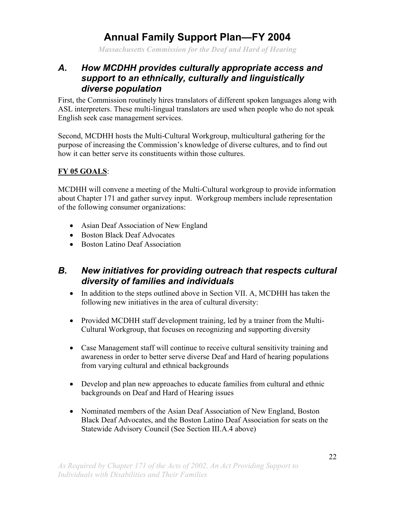*Massachusetts Commission for the Deaf and Hard of Hearing* 

### *A. How MCDHH provides culturally appropriate access and support to an ethnically, culturally and linguistically diverse population*

First, the Commission routinely hires translators of different spoken languages along with ASL interpreters. These multi-lingual translators are used when people who do not speak English seek case management services.

Second, MCDHH hosts the Multi-Cultural Workgroup, multicultural gathering for the purpose of increasing the Commission's knowledge of diverse cultures, and to find out how it can better serve its constituents within those cultures.

### **FY 05 GOALS**:

MCDHH will convene a meeting of the Multi-Cultural workgroup to provide information about Chapter 171 and gather survey input. Workgroup members include representation of the following consumer organizations:

- Asian Deaf Association of New England
- Boston Black Deaf Advocates
- Boston Latino Deaf Association

### *B. New initiatives for providing outreach that respects cultural diversity of families and individuals*

- In addition to the steps outlined above in Section VII. A, MCDHH has taken the following new initiatives in the area of cultural diversity:
- Provided MCDHH staff development training, led by a trainer from the Multi-Cultural Workgroup, that focuses on recognizing and supporting diversity
- Case Management staff will continue to receive cultural sensitivity training and awareness in order to better serve diverse Deaf and Hard of hearing populations from varying cultural and ethnical backgrounds
- Develop and plan new approaches to educate families from cultural and ethnic backgrounds on Deaf and Hard of Hearing issues
- Nominated members of the Asian Deaf Association of New England, Boston Black Deaf Advocates, and the Boston Latino Deaf Association for seats on the Statewide Advisory Council (See Section III.A.4 above)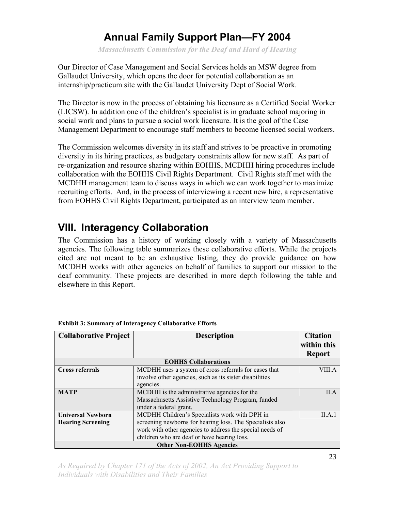*Massachusetts Commission for the Deaf and Hard of Hearing* 

Our Director of Case Management and Social Services holds an MSW degree from Gallaudet University, which opens the door for potential collaboration as an internship/practicum site with the Gallaudet University Dept of Social Work.

The Director is now in the process of obtaining his licensure as a Certified Social Worker (LICSW). In addition one of the children's specialist is in graduate school majoring in social work and plans to pursue a social work licensure. It is the goal of the Case Management Department to encourage staff members to become licensed social workers.

The Commission welcomes diversity in its staff and strives to be proactive in promoting diversity in its hiring practices, as budgetary constraints allow for new staff. As part of re-organization and resource sharing within EOHHS, MCDHH hiring procedures include collaboration with the EOHHS Civil Rights Department. Civil Rights staff met with the MCDHH management team to discuss ways in which we can work together to maximize recruiting efforts. And, in the process of interviewing a recent new hire, a representative from EOHHS Civil Rights Department, participated as an interview team member.

# **VIII. Interagency Collaboration**

The Commission has a history of working closely with a variety of Massachusetts agencies. The following table summarizes these collaborative efforts. While the projects cited are not meant to be an exhaustive listing, they do provide guidance on how MCDHH works with other agencies on behalf of families to support our mission to the deaf community. These projects are described in more depth following the table and elsewhere in this Report.

| <b>Collaborative Project</b>    | <b>Description</b>                                        | <b>Citation</b> |  |
|---------------------------------|-----------------------------------------------------------|-----------------|--|
|                                 |                                                           | within this     |  |
|                                 |                                                           | <b>Report</b>   |  |
|                                 | <b>EOHHS Collaborations</b>                               |                 |  |
| <b>Cross referrals</b>          | MCDHH uses a system of cross referrals for cases that     | VIII.A          |  |
|                                 | involve other agencies, such as its sister disabilities   |                 |  |
|                                 | agencies.                                                 |                 |  |
| <b>MATP</b>                     | MCDHH is the administrative agencies for the              | II.A            |  |
|                                 | Massachusetts Assistive Technology Program, funded        |                 |  |
|                                 | under a federal grant.                                    |                 |  |
| <b>Universal Newborn</b>        | MCDHH Children's Specialists work with DPH in             | II.A.1          |  |
| <b>Hearing Screening</b>        | screening newborns for hearing loss. The Specialists also |                 |  |
|                                 | work with other agencies to address the special needs of  |                 |  |
|                                 | children who are deaf or have hearing loss.               |                 |  |
| <b>Other Non-EOHHS Agencies</b> |                                                           |                 |  |

**Exhibit 3: Summary of Interagency Collaborative Efforts** 

*As Required by Chapter 171 of the Acts of 2002, An Act Providing Support to Individuals with Disabilities and Their Families*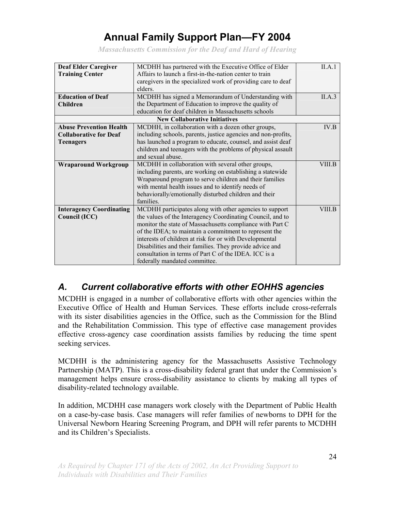*Massachusetts Commission for the Deaf and Hard of Hearing* 

| Deaf Elder Caregiver            | MCDHH has partnered with the Executive Office of Elder        | II.A.1 |
|---------------------------------|---------------------------------------------------------------|--------|
| <b>Training Center</b>          | Affairs to launch a first-in-the-nation center to train       |        |
|                                 | caregivers in the specialized work of providing care to deaf  |        |
|                                 | elders.                                                       |        |
| <b>Education of Deaf</b>        | MCDHH has signed a Memorandum of Understanding with           | II.A.3 |
| <b>Children</b>                 | the Department of Education to improve the quality of         |        |
|                                 | education for deaf children in Massachusetts schools          |        |
|                                 | <b>New Collaborative Initiatives</b>                          |        |
| <b>Abuse Prevention Health</b>  | MCDHH, in collaboration with a dozen other groups,            | IV.B   |
| <b>Collaborative for Deaf</b>   | including schools, parents, justice agencies and non-profits, |        |
| <b>Teenagers</b>                | has launched a program to educate, counsel, and assist deaf   |        |
|                                 | children and teenagers with the problems of physical assault  |        |
|                                 | and sexual abuse.                                             |        |
| <b>Wraparound Workgroup</b>     | MCDHH in collaboration with several other groups,             | VIII.B |
|                                 | including parents, are working on establishing a statewide    |        |
|                                 | Wraparound program to serve children and their families       |        |
|                                 | with mental health issues and to identify needs of            |        |
|                                 | behaviorally/emotionally disturbed children and their         |        |
|                                 | families.                                                     |        |
| <b>Interagency Coordinating</b> | MCDHH participates along with other agencies to support       | VIII.B |
| Council (ICC)                   | the values of the Interagency Coordinating Council, and to    |        |
|                                 | monitor the state of Massachusetts compliance with Part C     |        |
|                                 | of the IDEA; to maintain a commitment to represent the        |        |
|                                 | interests of children at risk for or with Developmental       |        |
|                                 | Disabilities and their families. They provide advice and      |        |
|                                 | consultation in terms of Part C of the IDEA. ICC is a         |        |
|                                 | federally mandated committee.                                 |        |

### *A. Current collaborative efforts with other EOHHS agencies*

MCDHH is engaged in a number of collaborative efforts with other agencies within the Executive Office of Health and Human Services. These efforts include cross-referrals with its sister disabilities agencies in the Office, such as the Commission for the Blind and the Rehabilitation Commission. This type of effective case management provides effective cross-agency case coordination assists families by reducing the time spent seeking services.

MCDHH is the administering agency for the Massachusetts Assistive Technology Partnership (MATP). This is a cross-disability federal grant that under the Commission's management helps ensure cross-disability assistance to clients by making all types of disability-related technology available.

In addition, MCDHH case managers work closely with the Department of Public Health on a case-by-case basis. Case managers will refer families of newborns to DPH for the Universal Newborn Hearing Screening Program, and DPH will refer parents to MCDHH and its Children's Specialists.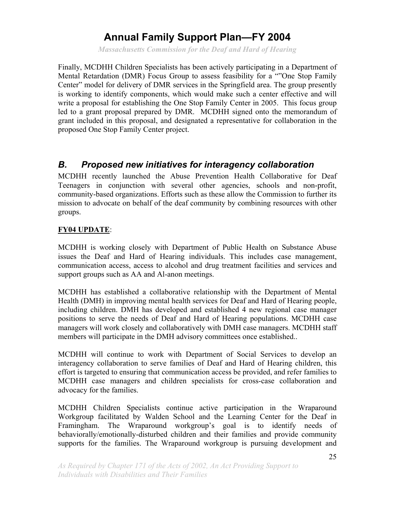*Massachusetts Commission for the Deaf and Hard of Hearing* 

Finally, MCDHH Children Specialists has been actively participating in a Department of Mental Retardation (DMR) Focus Group to assess feasibility for a ""One Stop Family Center" model for delivery of DMR services in the Springfield area. The group presently is working to identify components, which would make such a center effective and will write a proposal for establishing the One Stop Family Center in 2005. This focus group led to a grant proposal prepared by DMR. MCDHH signed onto the memorandum of grant included in this proposal, and designated a representative for collaboration in the proposed One Stop Family Center project.

### *B. Proposed new initiatives for interagency collaboration*

MCDHH recently launched the Abuse Prevention Health Collaborative for Deaf Teenagers in conjunction with several other agencies, schools and non-profit, community-based organizations. Efforts such as these allow the Commission to further its mission to advocate on behalf of the deaf community by combining resources with other groups.

### **FY04 UPDATE**:

MCDHH is working closely with Department of Public Health on Substance Abuse issues the Deaf and Hard of Hearing individuals. This includes case management, communication access, access to alcohol and drug treatment facilities and services and support groups such as AA and Al-anon meetings.

MCDHH has established a collaborative relationship with the Department of Mental Health (DMH) in improving mental health services for Deaf and Hard of Hearing people, including children. DMH has developed and established 4 new regional case manager positions to serve the needs of Deaf and Hard of Hearing populations. MCDHH case managers will work closely and collaboratively with DMH case managers. MCDHH staff members will participate in the DMH advisory committees once established..

MCDHH will continue to work with Department of Social Services to develop an interagency collaboration to serve families of Deaf and Hard of Hearing children, this effort is targeted to ensuring that communication access be provided, and refer families to MCDHH case managers and children specialists for cross-case collaboration and advocacy for the families.

MCDHH Children Specialists continue active participation in the Wraparound Workgroup facilitated by Walden School and the Learning Center for the Deaf in Framingham. The Wraparound workgroup's goal is to identify needs of behaviorally/emotionally-disturbed children and their families and provide community supports for the families. The Wraparound workgroup is pursuing development and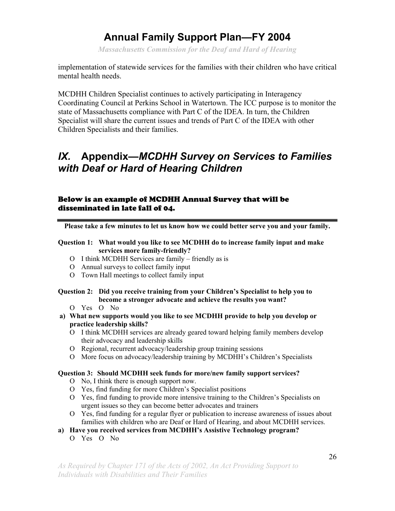*Massachusetts Commission for the Deaf and Hard of Hearing* 

implementation of statewide services for the families with their children who have critical mental health needs.

MCDHH Children Specialist continues to actively participating in Interagency Coordinating Council at Perkins School in Watertown. The ICC purpose is to monitor the state of Massachusetts compliance with Part C of the IDEA. In turn, the Children Specialist will share the current issues and trends of Part C of the IDEA with other Children Specialists and their families.

### *IX.* **Appendix—***MCDHH Survey on Services to Families with Deaf or Hard of Hearing Children*

#### Below is an example of MCDHH Annual Survey that will be disseminated in late fall of 04.

**Please take a few minutes to let us know how we could better serve you and your family.** 

#### **Question 1: What would you like to see MCDHH do to increase family input and make services more family-friendly?**

- О I think MCDHH Services are family friendly as is
- О Annual surveys to collect family input
- О Town Hall meetings to collect family input

#### **Question 2: Did you receive training from your Children's Specialist to help you to become a stronger advocate and achieve the results you want?**

#### О Yes О No

- **a) What new supports would you like to see MCDHH provide to help you develop or practice leadership skills?** 
	- О I think MCDHH services are already geared toward helping family members develop their advocacy and leadership skills
	- О Regional, recurrent advocacy/leadership group training sessions
	- О More focus on advocacy/leadership training by MCDHH's Children's Specialists

#### **Question 3: Should MCDHH seek funds for more/new family support services?**

- О No, I think there is enough support now.
- О Yes, find funding for more Children's Specialist positions
- О Yes, find funding to provide more intensive training to the Children's Specialists on urgent issues so they can become better advocates and trainers
- О Yes, find funding for a regular flyer or publication to increase awareness of issues about families with children who are Deaf or Hard of Hearing, and about MCDHH services.
- **a) Have you received services from MCDHH's Assistive Technology program?**
	- О Yes О No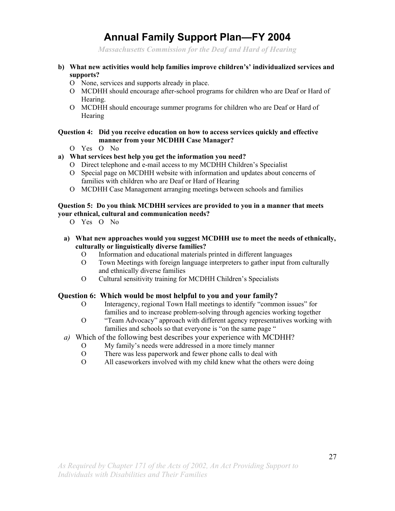*Massachusetts Commission for the Deaf and Hard of Hearing* 

- **b) What new activities would help families improve children's' individualized services and supports?**
	- О None, services and supports already in place.
	- О MCDHH should encourage after-school programs for children who are Deaf or Hard of Hearing.
	- О MCDHH should encourage summer programs for children who are Deaf or Hard of Hearing

#### **Question 4: Did you receive education on how to access services quickly and effective manner from your MCDHH Case Manager?**

- O Yes O No
- **a) What services best help you get the information you need?** 
	- О Direct telephone and e-mail access to my MCDHH Children's Specialist
	- О Special page on MCDHH website with information and updates about concerns of families with children who are Deaf or Hard of Hearing
	- О MCDHH Case Management arranging meetings between schools and families

#### **Question 5: Do you think MCDHH services are provided to you in a manner that meets your ethnical, cultural and communication needs?**

- О Yes О No
- **a) What new approaches would you suggest MCDHH use to meet the needs of ethnically, culturally or linguistically diverse families?** 
	- О Information and educational materials printed in different languages
	- О Town Meetings with foreign language interpreters to gather input from culturally and ethnically diverse families
	- О Cultural sensitivity training for MCDHH Children's Specialists

#### **Question 6: Which would be most helpful to you and your family?**

- О Interagency, regional Town Hall meetings to identify "common issues" for families and to increase problem-solving through agencies working together
- О "Team Advocacy" approach with different agency representatives working with families and schools so that everyone is "on the same page "
- *a)* Which of the following best describes your experience with MCDHH?
	- О My family's needs were addressed in a more timely manner
	- О There was less paperwork and fewer phone calls to deal with
	- О All caseworkers involved with my child knew what the others were doing